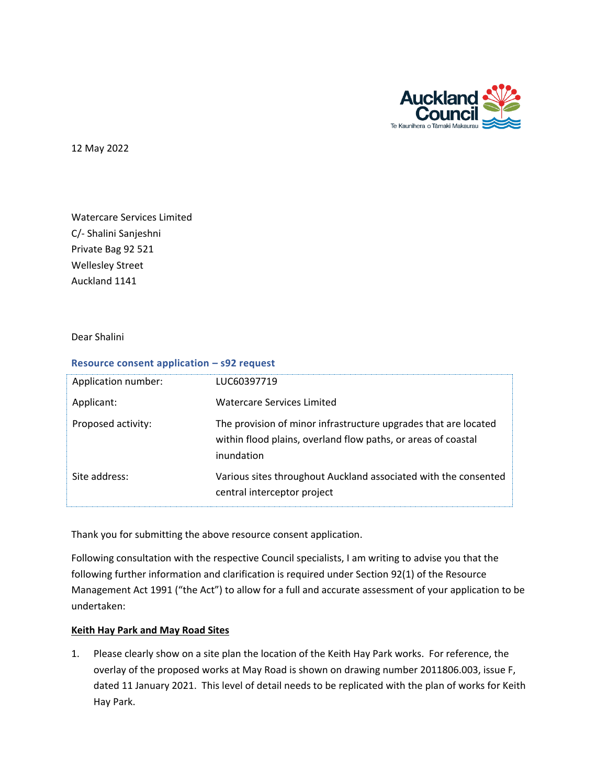

12 May 2022

Watercare Services Limited C/- Shalini Sanjeshni Private Bag 92 521 Wellesley Street Auckland 1141

Dear Shalini

## **Resource consent application – s92 request**

| Application number: | LUC60397719                                                                                                                                    |
|---------------------|------------------------------------------------------------------------------------------------------------------------------------------------|
| Applicant:          | Watercare Services Limited                                                                                                                     |
| Proposed activity:  | The provision of minor infrastructure upgrades that are located<br>within flood plains, overland flow paths, or areas of coastal<br>inundation |
| Site address:       | Various sites throughout Auckland associated with the consented<br>central interceptor project                                                 |

Thank you for submitting the above resource consent application.

Following consultation with the respective Council specialists, I am writing to advise you that the following further information and clarification is required under Section 92(1) of the Resource Management Act 1991 ("the Act") to allow for a full and accurate assessment of your application to be undertaken:

## **Keith Hay Park and May Road Sites**

1. Please clearly show on a site plan the location of the Keith Hay Park works. For reference, the overlay of the proposed works at May Road is shown on drawing number 2011806.003, issue F, dated 11 January 2021. This level of detail needs to be replicated with the plan of works for Keith Hay Park.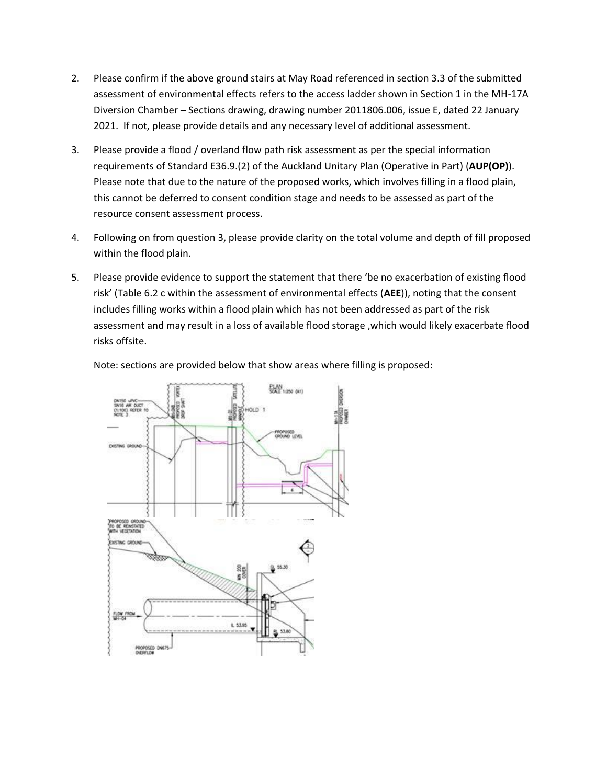- 2. Please confirm if the above ground stairs at May Road referenced in section 3.3 of the submitted assessment of environmental effects refers to the access ladder shown in Section 1 in the MH-17A Diversion Chamber – Sections drawing, drawing number 2011806.006, issue E, dated 22 January 2021. If not, please provide details and any necessary level of additional assessment.
- 3. Please provide a flood / overland flow path risk assessment as per the special information requirements of Standard E36.9.(2) of the Auckland Unitary Plan (Operative in Part) (**AUP(OP)**). Please note that due to the nature of the proposed works, which involves filling in a flood plain, this cannot be deferred to consent condition stage and needs to be assessed as part of the resource consent assessment process.
- 4. Following on from question 3, please provide clarity on the total volume and depth of fill proposed within the flood plain.
- 5. Please provide evidence to support the statement that there 'be no exacerbation of existing flood risk' (Table 6.2 c within the assessment of environmental effects (**AEE**)), noting that the consent includes filling works within a flood plain which has not been addressed as part of the risk assessment and may result in a loss of available flood storage ,which would likely exacerbate flood risks offsite.



Note: sections are provided below that show areas where filling is proposed: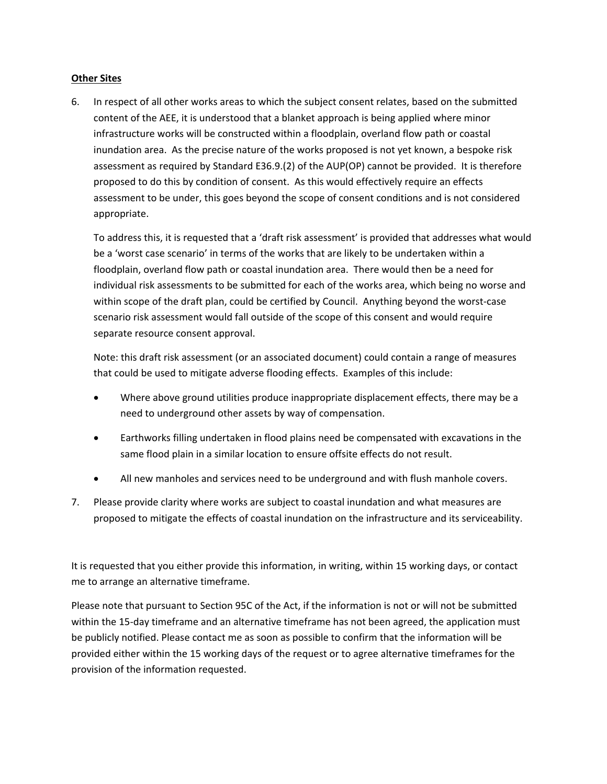## **Other Sites**

6. In respect of all other works areas to which the subject consent relates, based on the submitted content of the AEE, it is understood that a blanket approach is being applied where minor infrastructure works will be constructed within a floodplain, overland flow path or coastal inundation area. As the precise nature of the works proposed is not yet known, a bespoke risk assessment as required by Standard E36.9.(2) of the AUP(OP) cannot be provided. It is therefore proposed to do this by condition of consent. As this would effectively require an effects assessment to be under, this goes beyond the scope of consent conditions and is not considered appropriate.

To address this, it is requested that a 'draft risk assessment' is provided that addresses what would be a 'worst case scenario' in terms of the works that are likely to be undertaken within a floodplain, overland flow path or coastal inundation area. There would then be a need for individual risk assessments to be submitted for each of the works area, which being no worse and within scope of the draft plan, could be certified by Council. Anything beyond the worst-case scenario risk assessment would fall outside of the scope of this consent and would require separate resource consent approval.

Note: this draft risk assessment (or an associated document) could contain a range of measures that could be used to mitigate adverse flooding effects. Examples of this include:

- Where above ground utilities produce inappropriate displacement effects, there may be a need to underground other assets by way of compensation.
- Earthworks filling undertaken in flood plains need be compensated with excavations in the same flood plain in a similar location to ensure offsite effects do not result.
- All new manholes and services need to be underground and with flush manhole covers.
- 7. Please provide clarity where works are subject to coastal inundation and what measures are proposed to mitigate the effects of coastal inundation on the infrastructure and its serviceability.

It is requested that you either provide this information, in writing, within 15 working days, or contact me to arrange an alternative timeframe.

Please note that pursuant to Section 95C of the Act, if the information is not or will not be submitted within the 15-day timeframe and an alternative timeframe has not been agreed, the application must be publicly notified. Please contact me as soon as possible to confirm that the information will be provided either within the 15 working days of the request or to agree alternative timeframes for the provision of the information requested.